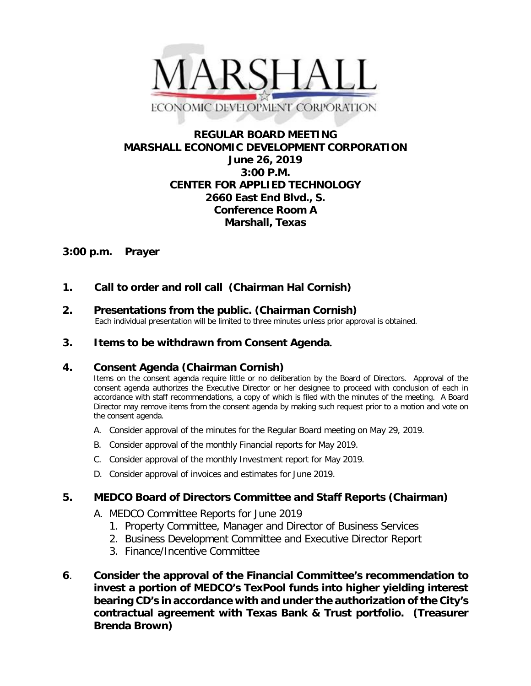

# **REGULAR BOARD MEETING MARSHALL ECONOMIC DEVELOPMENT CORPORATION June 26, 2019 3:00 P.M. CENTER FOR APPLIED TECHNOLOGY 2660 East End Blvd., S. Conference Room A Marshall, Texas**

# **3:00 p.m. Prayer**

- **1. Call to order and roll call (Chairman Hal Cornish)**
- **2. Presentations from the public. (Chairman Cornish)**<br>Each individual presentation will be limited to three minutes unless prior approval is obtained.
- **3. Items to be withdrawn from Consent Agenda.**

## **4. Consent Agenda (Chairman Cornish)**

Items on the consent agenda require little or no deliberation by the Board of Directors. Approval of the consent agenda authorizes the Executive Director or her designee to proceed with conclusion of each in accordance with staff recommendations, a copy of which is filed with the minutes of the meeting. A Board Director may remove items from the consent agenda by making such request prior to a motion and vote on the consent agenda.

- A. Consider approval of the minutes for the Regular Board meeting on May 29, 2019.
- B. Consider approval of the monthly Financial reports for May 2019.
- C. Consider approval of the monthly Investment report for May 2019.
- D. Consider approval of invoices and estimates for June 2019.

## **5. MEDCO Board of Directors Committee and Staff Reports (Chairman)**

- A. MEDCO Committee Reports for June 2019
	- 1. Property Committee, Manager and Director of Business Services
	- 2. Business Development Committee and Executive Director Report
	- 3. Finance/Incentive Committee
- **6**. **Consider the approval of the Financial Committee's recommendation to invest a portion of MEDCO's TexPool funds into higher yielding interest bearing CD's in accordance with and under the authorization of the City's contractual agreement with Texas Bank & Trust portfolio. (Treasurer Brenda Brown)**